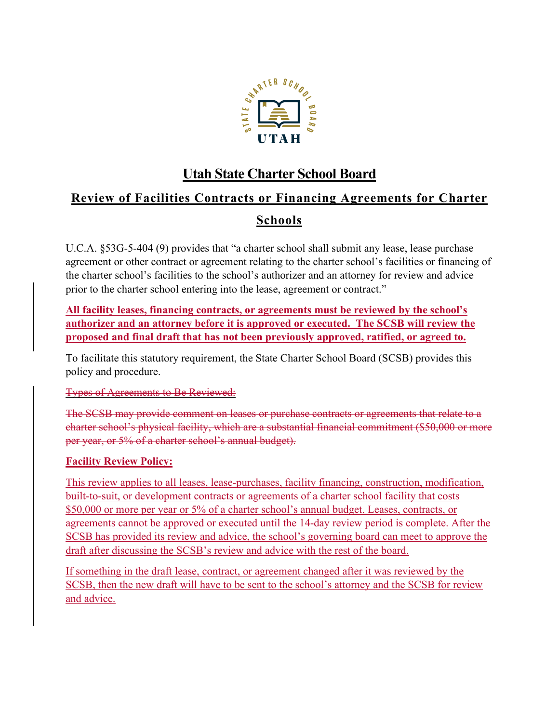

## **Utah State Charter School Board**

# **Review of Facilities Contracts or Financing Agreements for Charter**

### **Schools**

U.C.A. §53G-5-404 (9) provides that "a charter school shall submit any lease, lease purchase agreement or other contract or agreement relating to the charter school's facilities or financing of the charter school's facilities to the school's authorizer and an attorney for review and advice prior to the charter school entering into the lease, agreement or contract."

**All facility leases, financing contracts, or agreements must be reviewed by the school's authorizer and an attorney before it is approved or executed. The SCSB will review the proposed and final draft that has not been previously approved, ratified, or agreed to.**

To facilitate this statutory requirement, the State Charter School Board (SCSB) provides this policy and procedure.

#### Types of Agreements to Be Reviewed:

The SCSB may provide comment on leases or purchase contracts or agreements that relate to a charter school's physical facility, which are a substantial financial commitment (\$50,000 or more per year, or 5% of a charter school's annual budget).

#### **Facility Review Policy:**

This review applies to all leases, lease-purchases, facility financing, construction, modification, built-to-suit, or development contracts or agreements of a charter school facility that costs \$50,000 or more per year or 5% of a charter school's annual budget. Leases, contracts, or agreements cannot be approved or executed until the 14-day review period is complete. After the SCSB has provided its review and advice, the school's governing board can meet to approve the draft after discussing the SCSB's review and advice with the rest of the board.

If something in the draft lease, contract, or agreement changed after it was reviewed by the SCSB, then the new draft will have to be sent to the school's attorney and the SCSB for review and advice.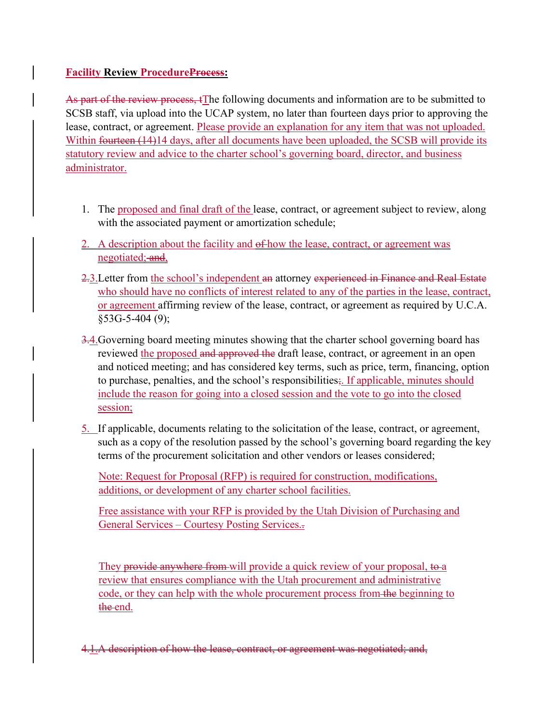#### **Facility Review ProcedureProcess:**

As part of the review process,  $f$ <sub>I</sub> the following documents and information are to be submitted to SCSB staff, via upload into the UCAP system, no later than fourteen days prior to approving the lease, contract, or agreement. Please provide an explanation for any item that was not uploaded. Within fourteen (14)14 days, after all documents have been uploaded, the SCSB will provide its statutory review and advice to the charter school's governing board, director, and business administrator.

- 1. The proposed and final draft of the lease, contract, or agreement subject to review, along with the associated payment or amortization schedule;
- 2. A description about the facility and  $\sigma$  how the lease, contract, or agreement was negotiated; and,
- 2.3.Letter from the school's independent an attorney experienced in Finance and Real Estate who should have no conflicts of interest related to any of the parties in the lease, contract, or agreement affirming review of the lease, contract, or agreement as required by U.C.A. §53G-5-404 (9);
- 3.4.Governing board meeting minutes showing that the charter school governing board has reviewed the proposed and approved the draft lease, contract, or agreement in an open and noticed meeting; and has considered key terms, such as price, term, financing, option to purchase, penalties, and the school's responsibilities; If applicable, minutes should include the reason for going into a closed session and the vote to go into the closed session;
- 5. If applicable, documents relating to the solicitation of the lease, contract, or agreement, such as a copy of the resolution passed by the school's governing board regarding the key terms of the procurement solicitation and other vendors or leases considered;

Note: Request for Proposal (RFP) is required for construction, modifications, additions, or development of any charter school facilities.

Free assistance with your RFP is provided by the [Utah Division of Purchasing and](https://purchasing.utah.gov/for-agencies/courtesy-posting-services/)  General Services – [Courtesy Posting Services.](https://purchasing.utah.gov/for-agencies/courtesy-posting-services/).

They provide anywhere from will provide a quick review of your proposal, to a review that ensures compliance with the Utah procurement and administrative code, or they can help with the whole procurement process from the beginning to the end.

of how the lease, contract,